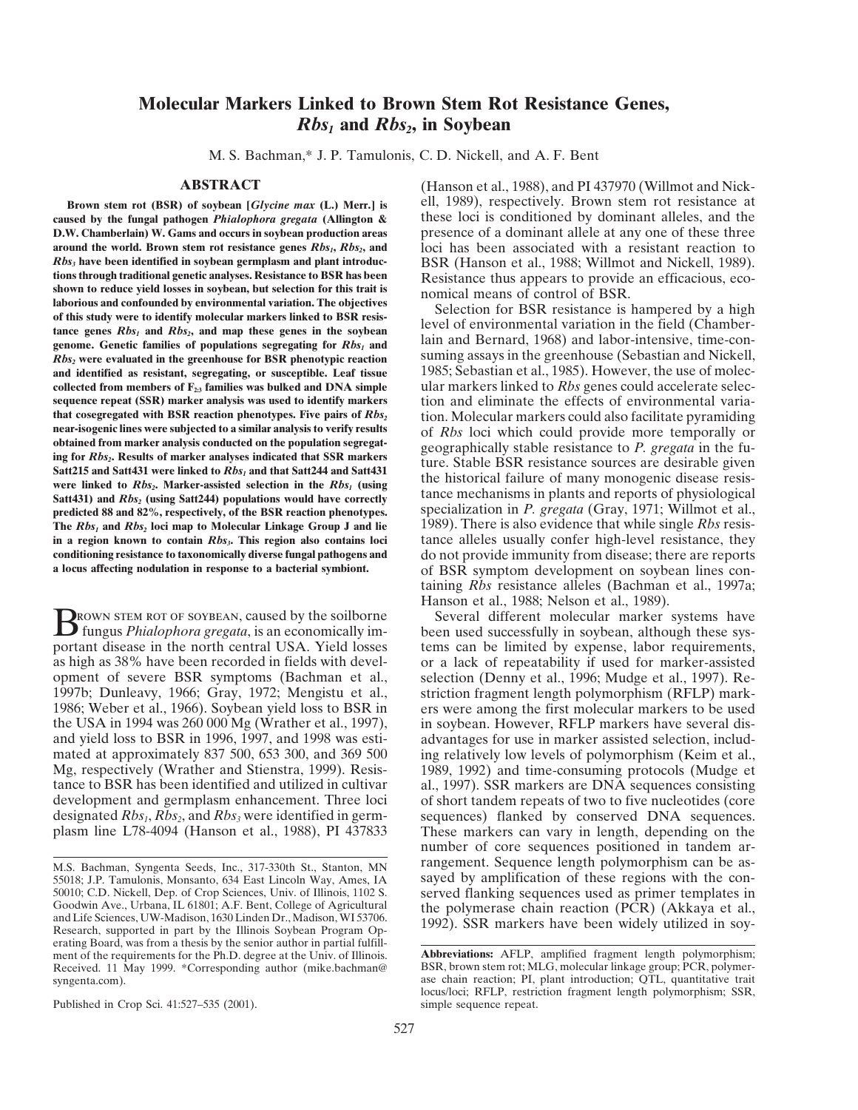# **Molecular Markers Linked to Brown Stem Rot Resistance Genes,** *Rbs<sub>1</sub>* and *Rbs<sub>2</sub>*, in Soybean

M. S. Bachman,\* J. P. Tamulonis, C. D. Nickell, and A. F. Bent

**caused by the fungal pathogen** *Phialophora gregata* **(Allington &** these loci is conditioned by dominant alleles, and the **D.W. Chamberlain) W. Gams and occurs in soybean production areas** presence of a dominant allele at any one of these three around the world. Brown stem rot resistance genes *Rbs<sub>1</sub>*, *Rbs<sub>2</sub>*, and loci has been associated with a resistant reaction to *Rbs<sub>3</sub>* have been identified in soybean germplasm and plant introduc-BSR (Hanson et al., 1988 tions through traditional genetic analyses. Resistance to BSR has been<br>shown to reduce yield losses in soybean, but selection for this trait is<br>laborious and confounded by environmental variation. The objectives<br>control of From this study were to identify molecular markers linked to BSR resistance is hampered by a high of this study were to identify molecular markers linked to BSR resistance Selection for BSR resistance is hampered by a hig *Rbs*, were evaluated in the greenhouse for BSR phenotypic reaction suming assays in the greenhouse (Sebastian and Nickell, **and identified as resistant, segregating, or susceptible. Leaf tissue** 1985; Sebastian et al., 1985). However, the use of molec**collected from members of F<sub>23</sub> families was bulked and DNA simple** ular markers linked to *Rbs* genes could accelerate selecsed exergence repeat (SSR) marker analysis was used to identify markers tion and eliminate the e **sequence repeat (SSR) marker analysis was used to identify markers** tion and eliminate the effects of environmental varia-<br> **that cosegregated with BSR reaction phenotypes. Five pairs of Rbs.** tion Molecular markers could **that cosegregated with BSR reaction phenotypes. Five pairs of** *Rbs<sub>2</sub>* **tion. Molecular markers could also facilitate pyramiding near-isogenic lines were subjected to a similar analysis to verify results of** *Rbs* **loci whic** near-isogenic lines were subjected to a similar analysis to verify results<br>of Rbs loci which could provide more temporally or<br>ing for Rbs. Results of marker analysis conducted on the population segregat-<br>ing for Rbs. Resul Satt215 and Satt431 were linked to *Rbs<sub>1</sub>* and that Satt244 and Satt431<br>were linked to *Rbs<sub>2</sub>*. Marker-assisted selection in the *Rbs<sub>1</sub>* (using<br>Satt431) and *Rbs<sub>2</sub>* (using Satt244) populations would have correctly<br>pre **The** *Rbs<sub>1</sub>* **and** *Rbs<sub>2</sub>* **loci map to Molecular Linkage Group J and lie 1989). There is also evidence that while single** *Rbs* **resisting a region known to contain** *Rbs<sub>3</sub>***. This region also contains loci tance alleles usua** in a region known to contain *Rbs<sub>3</sub>*. This region also contains loci<br>  $\frac{1}{2}$  tance alleles usually confer high-level resistance, they<br>  $\frac{1}{2}$  conditioning resistance to taxonomically diverse fungal pathogens and<br>  $\$ **conditioning resistance to taxonomically diverse fungal pathogens and** do not provide immunity from disease; there are reports a locus affecting nodulation in response to a bacterial symbiont. of BSR symptom development o

**BROWN STEM ROT OF SOYBEAN, caused by the soilborne** Several different molecular marker systems have been used successfully in soybean, although these sys-<br>nartest disease in the next experted USA. Yield lesses portant disease in the north central USA. Yield losses tems can be limited by expense, labor requirements, as high as 38% have been recorded in fields with devel-<br>or a lack of repeatability if used for marker-assisted as high as 38% have been recorded in fields with devel-<br>or a lack of repeatability if used for marker-assisted<br>opment of severe BSR symptoms (Bachman et al., selection (Denny et al., 1996; Mudge et al., 1997). Reopment of severe BSR symptoms (Bachman et al., selection (Denny et al., 1996; Mudge et al., 1997). Re-<br>1997b; Dunleavy, 1966; Gray, 1972; Mengistu et al., striction fragment length polymorphism (RFLP) mark-1997b; Dunleavy, 1966; Gray, 1972; Mengistu et al., striction fragment length polymorphism (RFLP) mark-<br>1986; Weber et al., 1966). Soybean yield loss to BSR in ers were among the first molecular markers to be used 1986; Weber et al., 1966). Soybean yield loss to BSR in ers were among the first molecular markers to be used the USA in 1994 was 260 000 Mg (Wrather et al., 1997), in soybean. However, RFLP markers have several disthe USA in 1994 was 260 000 Mg (Wrather et al., 1997), in soybean. However, RFLP markers have several disand yield loss to BSR in 1996, 1997, and 1998 was esti-<br>advantages for use in marker assisted selection, includand yield loss to BSR in 1996, 1997, and 1998 was esti-<br>mated at approximately 837 500, 653 300, and 369 500 ing relatively low levels of polymorphism (Keim et al., mated at approximately 837 500, 653 300, and 369 500 ing relatively low levels of polymorphism (Keim et al., Mg, respectively (Wrather and Stienstra, 1999). Resis- 1989, 1992) and time-consuming protocols (Mudge et Mg, respectively (Wrather and Stienstra, 1999). Resis-<br>tance to BSR has been identified and utilized in cultivar al., 1997). SSR markers are DNA sequences consisting tance to BSR has been identified and utilized in cultivar al., 1997). SSR markers are DNA sequences consisting development and germplasm enhancement. Three loci of short tandem repeats of two to five nucleotides (core development and germplasm enhancement. Three loci of short tandem repeats of two to five nucleotides (core designated  $Rbs_1$ ,  $Rbs_2$ , and  $Rbs_3$ , were identified in germ-sequences) flanked by conserved DNA sequences. designated *Rbs<sub>1</sub>*, *Rbs<sub>2</sub>*, and *Rbs<sub>3</sub>* were identified in germ-sequences) flanked by conserved DNA sequences.<br>plasm line L78-4094 (Hanson et al., 1988), PI 437833 These markers can vary in length, depending on the

Published in Crop Sci. 41:527–535 (2001). Simple sequence repeat.

**ABSTRACT** (Hanson et al., 1988), and PI 437970 (Willmot and Nick-**Brown stem rot (BSR) of soybean [***Glycine max* **(L.) Merr.] is ell, 1989), respectively. Brown stem rot resistance at** 

> specialization in *P. gregata* (Gray, 1971; Willmot et al., of BSR symptom development on soybean lines containing *Rbs* resistance alleles (Bachman et al., 1997a; Hanson et al., 1988; Nelson et al., 1989).

These markers can vary in length, depending on the number of core sequences positioned in tandem arrangement. Sequence length polymorphism can be as-M.S. Bachman, Syngenta Seeds, Inc., 317-330th St., Stanton, MN rangement. Sequence length polymorphism can be as-<br>55018: J.P. Tamulonis. Monsanto. 634 East Lincoln Way. Ames. IA sayed by amplification of these regions with

<sup>55018;</sup> J.P. Tamulonis, Monsanto, 634 East Lincoln Way, Ames, IA sayed by amplification of these regions with the con-<br>50010; C.D. Nickell, Dep. of Crop Sciences, Univ. of Illinois, 1102 S. served flanking sequences used as Goodwin Ave., Urbana, IL 61801; A.F. Bent, College of Agricultural the polymerase chain reaction (PCR) (Akkaya et al., and Life Sciences, UW-Madison, 1630 Linden Dr., Madison, WI 53706. Research, supported in part by the I erating Board, was from a thesis by the senior author in partial fulfillment of the requirements for the Ph.D. degree at the Univ. of Illinois. **Abbreviations:** AFLP, amplified fragment length polymorphism;<br>Received. 11 May 1999. \*Corresponding author (mike.bachman@BSR, brown stem rot; MLG, mo Received. 11 May 1999. \*Corresponding author (mike.bachman@ syngenta.com).

ase chain reaction; PI, plant introduction; QTL, quantitative trait locus/loci; RFLP, restriction fragment length polymorphism; SSR,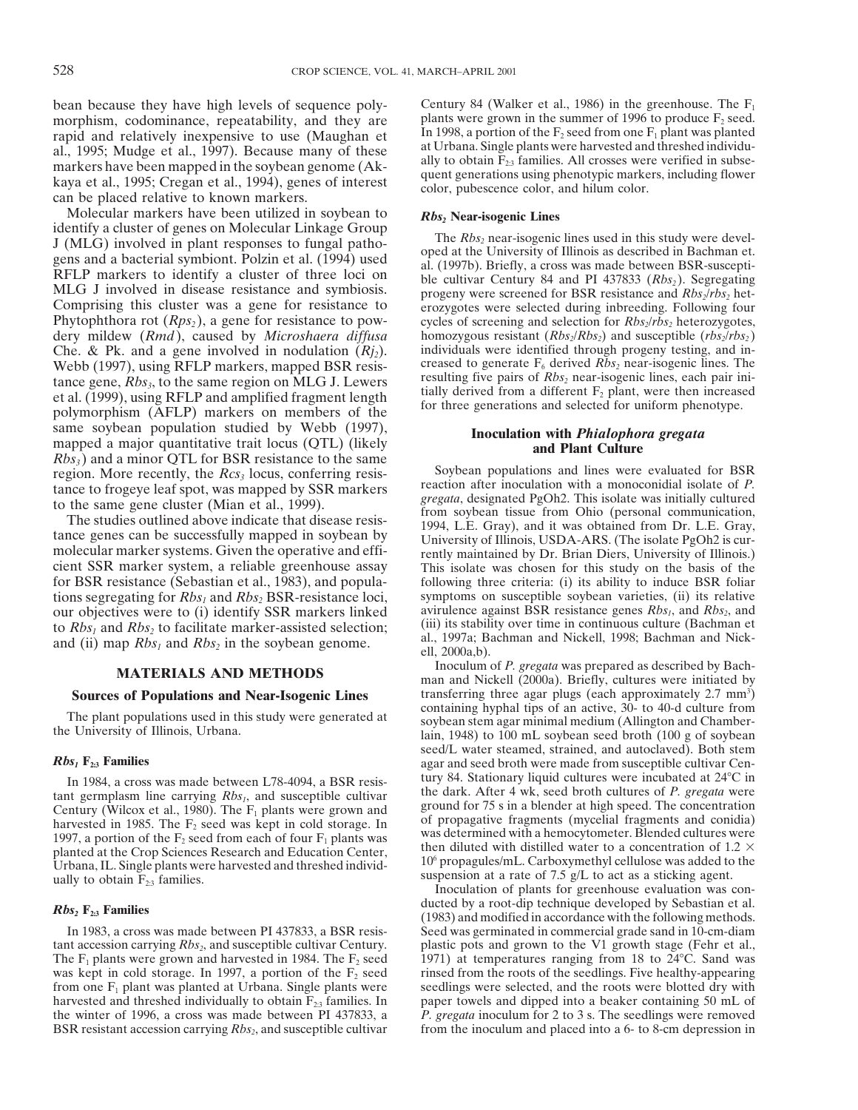bean because they have high levels of sequence poly-<br>morphism codominance repeatability and they are plants were grown in the summer of 1996 to produce  $F_2$  seed. morphism, codominance, repeatability, and they are plants were grown in the summer of 1996 to produce  $F_2$  seed.<br>rapid and relatively inexpensive to use (Maughan et In 1998, a portion of the  $F_2$  seed from one  $F_1$  pla rapid and relatively inexpensive to use (Maughan et al., 1998, a portion of the  $F_2$  seed from one  $F_1$  plant was planted<br>al., 1995; Mudge et al., 1997). Because many of these at Urbana. Single plants were harvested and

Molecular markers have been utilized in soybean to<br>
identify a cluster of genes on Molecular Linkage Group<br>
J (MLG) involved in plant responses to fungal patho-<br>
gens and a bacterial symbiont. Polzin et al. (1994) used<br>
M MLG J involved in disease resistance and symbiosis. The progeny were screened for BSR resistance and  $Rbs_2/rbs_2$  het-<br>Comprising this cluster was a gene for resistance to pow-<br>Phytophthora rot  $(Rps_2)$ , a gene for resistanc dery mildew (*Rmd*), caused by *Microshaera diffusa* homozygous resistant (*Rbs<sub>2</sub>/Rbs<sub>2</sub>*) and susceptible (*rbs<sub>2</sub>/rbs<sub>2</sub>*) Che. & Pk. and a gene involved in nodulation (*R<sub>i*2</sub>). individuals were identified through pro Che. & Pk. and a gene involved in nodulation  $(Rj_2)$ . individuals were identified through progeny testing, and in-<br>Webb (1997), using RFLP markers, mapped BSR resis-<br>creased to generate  $F_6$  derived  $Rbs_2$  near-isogenic Webb (1997), using RFLP markers, mapped BSR resis-<br>tance gane. Bbs. to the same region on MI G I I ewers resulting five pairs of  $Rbs_2$  near-isogenic lines, each pair initance gene,  $Rbs_3$ , to the same region on MLG J. Lewers<br>evilling live pairs of  $Rbs_2$  near-isogenic lines, each pair in-<br>et al. (1999), using RFLP and amplified fragment length<br>polymorphism (AFLP) markers on members of th same soybean population studied by Webb (1997),<br>mapped a major quantitative trait locus (QTL) (likely<br>*Rbs<sub>3</sub>*) and a minor QTL for BSR resistance to the same<br>region. More recently, the *Rcs<sub>3</sub>* locus, conferring resis-<br>S

for BSR resistance (Sebastian et al., 1983), and popula-<br>tions segregating for Rbs, and Rbs, BSR-resistance loci. symptoms on susceptible soybean varieties, (ii) its relative tions segregating for *Rbs<sub>1</sub>* and *Rbs<sub>2</sub>* BSR-resistance loci, symptoms on susceptible soybean varieties, (ii) its relative our objectives were to (i) identify SSR markers linked avirulence against BSR resistance genes our objectives were to (i) identify SSR markers linked<br>to *Rbs*, and *Rbs*, to facilitate marker-assisted selection: (iii) its stability over time in continuous culture (Bachman et

planted at the Crop Sciences Research and Education Center, Urbana, IL. Single plants were harvested and threshed individsuspension at a rate of 7.5 g/L to act as a sticking agent.<br>ually to obtain  $F_{2,3}$  families.

cycles of screening and selection for *Rbs<sub>2</sub>*/*rbs<sub>2</sub>* heterozygotes,

region. More recently, the *Rcs*<sub>3</sub> locus, conferring resis-<br>tance to frogeye leaf spot, was mapped by SSR markers<br>to the same gene cluster (Mian et al., 1999).<br>The studies outlined above indicate that disease resis-<br>tance to  $Rbs_1$  and  $Rbs_2$  to facilitate marker-assisted selection;<br>and (ii) map  $Rbs_1$  and  $Rbs_2$  in the soybean genome.<br>al., 1997a; Bachman and Nickell, 1998; Bachman and Nick-<br>ell, 2000a,b).<br>Inoculum of *P. gregata* was prep

**INOCULUM OF** *P. gregata* was prepared as described by Bachman and Nickell (2000a). Briefly, cultures were initiated by **Sources of Populations and Near-Isogenic Lines** transferring three agar plugs (each approximately 2.7 mm<sup>3</sup>) containing hyphal tips of an active, 30- to 40-d culture from The plant populations used in this study were generated at<br>the University of Illinois, Urbana.<br>lain, 1948) to 100 mL soybean seed broth (100 g of soybean **Rbs<sub>1</sub> F<sub>2:3</sub> Families** seed/L water steamed, strained, and autoclaved). Both stem agar and seed broth were made from susceptible cultivar Cen-<br>In 1984 a cross was made between 178-4094 a BSR resis-<br>In 1984 a cross was ma In 1984, a cross was made between L78-4094, a BSR resis-<br>tant germplasm line carrying Rbs<sub>1</sub>, and susceptible cultivar<br>Century (Wilcox et al., 1980). The F<sub>1</sub> plants were grown and<br>harvested in 1985. The F<sub>2</sub> seed was kep 10<sup>6</sup> propagules/mL. Carboxymethyl cellulose was added to the

Inoculation of plants for greenhouse evaluation was con-**Rbs<sub>2</sub> <b>F**<sub>2:3</sub> **Families** (1983) and modified in accordance with the following methods. In 1983, a cross was made between PI 437833, a BSR resis- Seed was germinated in commercial grade sand in 10-cm-diam tant accession carrying *Rbs<sub>2</sub>*, and susceptible cultivar Century. plastic pots and grown to the V1 growth stage (Fehr et al., The F<sub>1</sub> plants were grown and harvested in 1984. The F<sub>2</sub> seed 1971) at temperatures ranging 1971) at temperatures ranging from 18 to 24 $^{\circ}$ C. Sand was was kept in cold storage. In 1997, a portion of the  $F_2$  seed rinsed from the roots of the seedlings. Five healthy-appearing from one  $F_1$  plant was planted at Urbana. Single plants were seedlings were selected, and the from one  $F_1$  plant was planted at Urbana. Single plants were seedlings were selected, and the roots were blotted dry with harvested and threshed individually to obtain  $F_{23}$  families. In paper towels and dipped into a harvested and threshed individually to obtain  $F_{2:3}$  families. In paper towels and dipped into a beaker containing 50 mL of the winter of 1996, a cross was made between PI 437833, a  $P. \t{g}$ .  $P. \t{g}$   $P. \t{g}$  inocul P. gregata inoculum for 2 to 3 s. The seedlings were removed BSR resistant accession carrying  $Rb_{2}$ , and susceptible cultivar from the inoculum and placed into a 6- to 8-cm depression in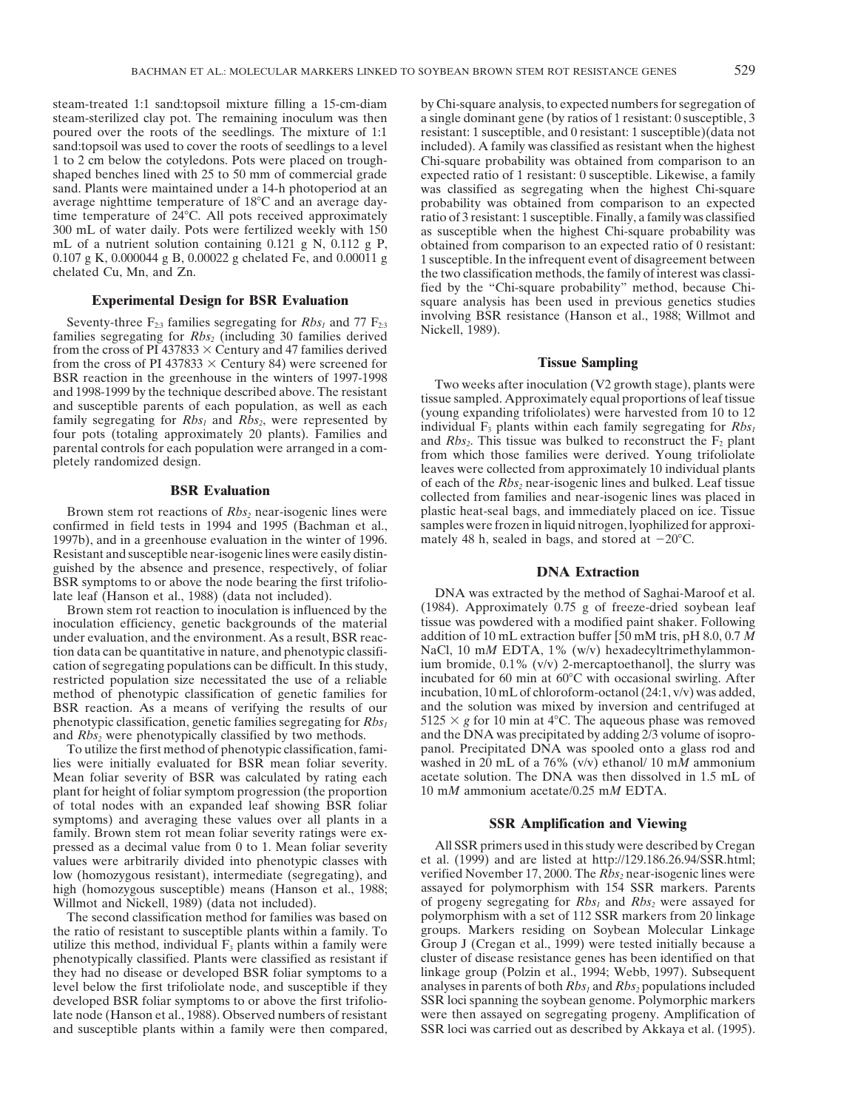steam-treated 1:1 sand:topsoil mixture filling a 15-cm-diam by Chi-square analysis, to expected numbers for segregation of

from the cross of PI 437833  $\times$  Century and 47 families derived from the cross of PI 437833  $\times$  Century 84) were screened for **Tissue Sampling**<br>BSR reaction in the greenhouse in the winters of 1997-1998 Two weeks ofter inoculation ( $Y$ ) grow

confirmed in field tests in 1994 and 1995 (Bachman et al., samples were frozen in liquid nitrogen, lyophilized for approximation in the winter of 1996. That we mately 48 h, sealed in bags, and stored at  $-20^{\circ}$ C. 1997b), and in a greenhouse evaluation in the winter of 1996. Resistant and susceptible near-isogenic lines were easily distinguished by the absence and presence, respectively, of foliar **DNA Extraction**<br>BSR symptoms to or above the node bearing the first trifoliolate leaf (Hanson et al., 1988) (data not included). DNA was extracted by the method of Saghai-Maroof et al.

tion data can be quantitative in nature, and phenotypic classifiphenotypic classification, genetic families segregating for *Rbs<sub>1</sub>* and *Rbs<sub>2</sub>* were phenotypically classified by two methods.

lies were initially evaluated for BSR mean foliar severity. washed in 20 mL of a 76% (v/v) ethanol/ 10 m*M* ammonium Mean foliar severity of BSR was calculated by rating each plant for height of foliar symptom progression (the proportion 10 m*M* ammonium acetate/0.25 m*M* EDTA. of total nodes with an expanded leaf showing BSR foliar symptoms) and averaging these values over all plants in a<br>
family. Brown stem rot mean foliar severity ratings were ex-<br>
pressed as a decimal value from 0 to 1. Mean foliar severity All SSR primers used in this study were pressed as a decimal value from 0 to 1. Mean foliar severity values were arbitrarily divided into phenotypic classes with low (homozygous resistant), intermediate (segregating), and verified November 17, 2000. The *Rbs<sub>2</sub>* near-isogenic lines were high (homozygous susceptible) means (Hanson et al., 1988; assayed for polymorphism with 154 SSR high (homozygous susceptible) means (Hanson et al., 1988; Willmot and Nickell, 1989) (data not included).

utilize this method, individual  $F_3$  plants within a family were phenotypically classified. Plants were classified as resistant if

steam-sterilized clay pot. The remaining inoculum was then a single dominant gene (by ratios of 1 resistant: 0 susceptible, 3 poured over the roots of the seedlings. The mixture of 1:1 resistant: 1 susceptible, and 0 resistant: 1 susceptible)(data not sand:topsoil was used to cover the roots of seedlings to a level included). A family was classif sand:topsoil was used to cover the roots of seedlings to a level included). A family was classified as resistant when the highest 1 to 2 cm below the cotyledons. Pots were placed on trough-<br>Chi-square probability was obtai Chi-square probability was obtained from comparison to an shaped benches lined with 25 to 50 mm of commercial grade expected ratio of 1 resistant: 0 susceptible. Likewise, a family sand. Plants were maintained under a 14-h photoperiod at an was classified as segregating when the was classified as segregating when the highest Chi-square average nighttime temperature of 188C and an average day- probability was obtained from comparison to an expected time temperature of 24°C. All pots received approximately ratio of 3 resistant: 1 susceptible. Finally, a family was classified 300 mL of water daily. Pots were fertilized weekly with  $150$  as susceptible when the highest Chi-square probability was mL of a nutrient solution containing 0.121 g N, 0.112 g P, obtained from comparison to an expected r mL of a nutrient solution containing 0.121 g N, 0.112 g P, obtained from comparison to an expected ratio of 0 resistant:<br>0.107 g K, 0.000044 g B, 0.00022 g chelated Fe, and 0.00011 g 1 susceptible. In the infrequent event 1 susceptible. In the infrequent event of disagreement between chelated Cu, Mn, and Zn. the two classification methods, the family of interest was classified by the "Chi-square probability" method, because Chi-**Experimental Design for BSR Evaluation** square analysis has been used in previous genetics studies Seventy-three  $F_{2:3}$  families segregating for  $Rbs_1$  and 77  $F_{2:3}$  involving BSR resistance (Hanson et al., 1988; Willmot and Nickell, 1989).

BSR reaction in the greenhouse in the winters of 1997-1998<br>and 1998-1999 by the technique described above. The resistant<br>and susceptible parents of each population, as well as each<br>family segregating for *Rbs<sub>1</sub>* and *Rbs* **BSR Evaluation** of each of the *Rbs<sub>2</sub>* near-isogenic lines and bulked. Leaf tissue collected from families and near-isogenic lines was placed in Brown stem rot reactions of *Rbs<sub>2</sub>* near-isogenic lines were plastic heat-seal bags, and immediately placed on ice. Tissue nfirmed in field tests in 1994 and 1995 (Bachman et al., samples were frozen in liquid nitrogen, l

Brown stem rot reaction to inoculation is influenced by the (1984). Approximately 0.75 g of freeze-dried soybean leaf<br>
oculation efficiency, genetic backgrounds of the material tissue was powdered with a modified paint sha inoculation efficiency, genetic backgrounds of the material tissue was powdered with a modified paint shaker. Following<br>under evaluation and the environment. As a result, BSR reac-<br>addition of 10 mL extraction buffer [50 m under evaluation, and the environment. As a result, BSR reac-<br>tion data can be quantitative in nature, and phenotypic classifi-<br>NaCl, 10 mM EDTA, 1% (w/v) hexadecyltrimethylammoncation of segregating populations can be difficult. In this study, ium bromide,  $0.1\%$  (v/v) 2-mercaptoethanol, the slurry was restricted population size necessitated the use of a reliable incubated for 60 min at  $60^{\circ}$ C with occasional swirling. After method of phenotypic classification of genetic families for incubation, 10 mL of chloroform-o method of phenotypic classification of genetic families for incubation, 10 mL of chloroform-octanol (24:1, v/v) was added,<br>BSR reaction. As a means of verifying the results of our and the solution was mixed by inversion an BSR reaction. As a means of verifying the results of our and the solution was mixed by inversion and centrifuged at phenotypic classification, genetic families segregating for  $Rbs_i$  5125  $\times$  g for 10 min at 4°C. The aque and the DNA was precipitated by adding 2/3 volume of isopro-To utilize the first method of phenotypic classification, fami-<br>s were initially evaluated for BSR mean foliar severity. washed in 20 mL of a 76% ( $v/v$ ) ethanol/ 10 mM ammonium

et al. (1999) and are listed at http://129.186.26.94/SSR.html; verified November 17, 2000. The  $Rbs_2$  near-isogenic lines were of progeny segregating for *Rbs<sub>1</sub>* and *Rbs<sub>2</sub>* were assayed for polymorphism with a set of 112 SSR markers from 20 linkage The second classification method for families was based on polymorphism with a set of 112 SSR markers from 20 linkage e ratio of resistant to susceptible plants within a family. To groups. Markers residing on Soybean Molec the ratio of resistant to susceptible plants within a family. To groups. Markers residing on Soybean Molecular Linkage utilize this method, individual  $F_3$  plants within a family were Group J (Cregan et al., 1999) were t cluster of disease resistance genes has been identified on that they had no disease or developed BSR foliar symptoms to a linkage group (Polzin et al., 1994; Webb, 1997). Subsequent level below the first trifoliolate node, and susceptible if they analyses in parents of both  $Rbs_1$  and  $Rbs_2$  populations included developed BSR foliar symptoms to or above the first trifolio-<br>
late node (Hanson et al., 1988). Observed numbers of resistant were then assayed on segregating progeny. Amplification of were then assayed on segregating progeny. Amplification of and susceptible plants within a family were then compared, SSR loci was carried out as described by Akkaya et al. (1995).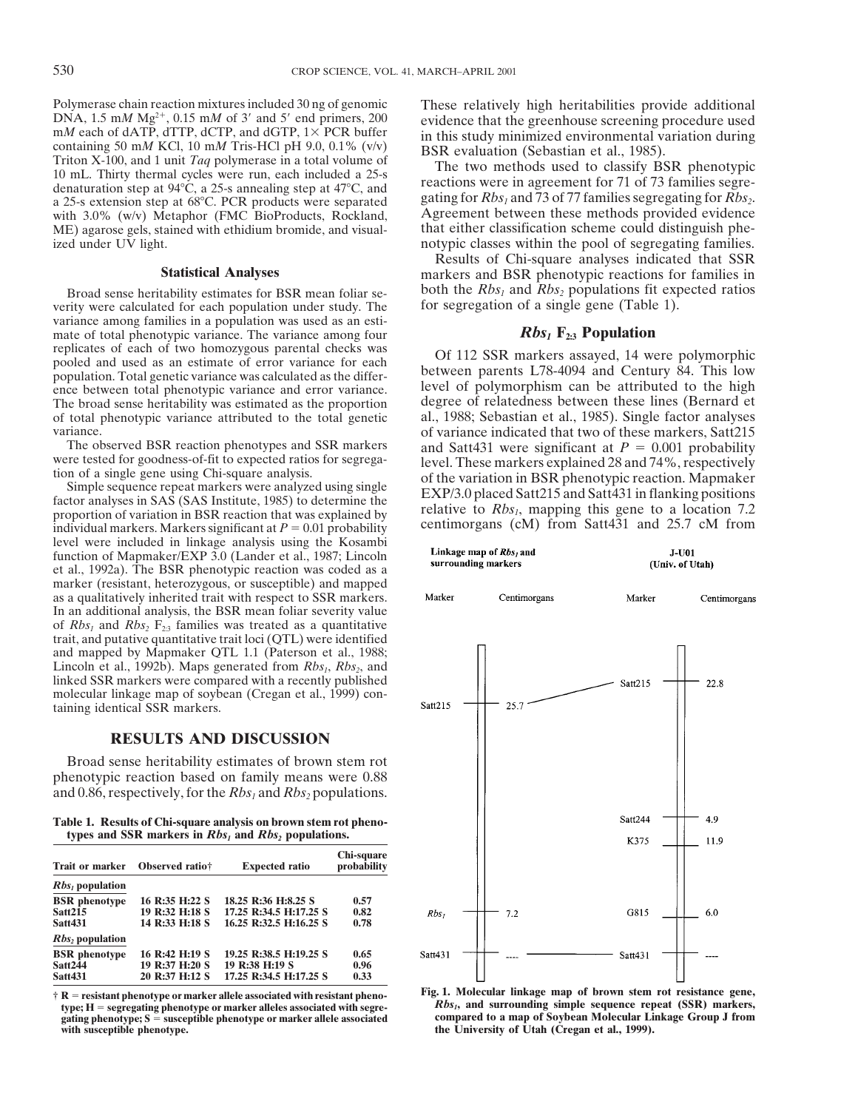Polymerase chain reaction mixtures included 30 ng of genomic These relatively high heritabilities provide additional  $\text{DNA}$ , 1.5 mM Mg<sup>2+</sup>, 0.15 mM of 3' and 5' end primers, 200<br>
mM each of dATP, dTTP, dCTP, and dGTP, 1× PCR buffer<br>
containing 50 mM KCl, 10 mM Tris-HCl pH 9.0, 0.1% (v/v)<br>
Triton X-100, and 1 unit *Taq* polymerase in a with 3.0% (w/v) Metaphor (FMC BioProducts, Rockland, Agreement between these methods provided evidence ME) agarose gels. stained with ethidium bromide, and visual-<br>that either classification scheme could distinguish phe-ME) agarose gels, stained with ethidium bromide, and visual-

verity were calculated for each population under study. The variance among families in a population was used as an estimate of total phenotypic variance. The variance among four  $Rbs_1$  **F<sub>2:3</sub> Population** replicates of each of two homozygous parental checks was  $\overrightarrow{O6}$  112 SSD markare assayed 14 w poled and used as an estimate of error variance for each<br>population. Total genetic variance was calculated as the differ-<br>population. Total genetic variance was calculated as the differ-<br>population. Total genetic variance ence between total phenotypic variance and error variance. level of polymorphism can be attributed to the high<br>The broad sense heritability was estimated as the proportion degree of relatedness between these lines (Bernard The broad sense heritability was estimated as the proportion degree of relatedness between these lines (Bernard et of total phenotypic variance attributed to the total genetic al., 1988; Sebastian et al., 1985). Single fac

proportion of variation in BSR reaction that was explained by<br>individual markers. Markers significant at  $P = 0.01$  probability centimorgans (cM) from Satt431 and 25.7 cM from level were included in linkage analysis using the Kosambi function of Mapmaker/EXP 3.0 (Lander et al., 1987; Lincoln et al., 1992a). The BSR phenotypic reaction was coded as a marker (resistant, heterozygous, or susceptible) and mapped as a qualitatively inherited trait with respect to SSR markers. In an additional analysis, the BSR mean foliar severity value of  $Rbs_1$  and  $Rbs_2$   $F_{2:3}$  families was treated as a quantitative trait, and putative quantitative trait loci (QTL) were identified and mapped by Mapmaker QTL 1.1 (Paterson et al., 1988; Lincoln et al., 1992b). Maps generated from *Rbs<sub>1</sub>*, *Rbs<sub>2</sub>*, and linked SSR markers were compared with a recently published molecular linkage map of soybean (Cregan et al., 1999) containing identical SSR markers.

### **RESULTS AND DISCUSSION**

Broad sense heritability estimates of brown stem rot phenotypic reaction based on family means were 0.88 and 0.86, respectively, for the  $Rbs_1$  and  $Rbs_2$  populations.

**Table 1. Results of Chi-square analysis on brown stem rot phenotypes and SSR markers in**  $Rbs_1$  **and**  $Rbs_2$  **populations.** 

| <b>Trait or marker</b> | Observed ratio <sub>†</sub> | <b>Expected ratio</b>  | Chi-square<br>probability |
|------------------------|-----------------------------|------------------------|---------------------------|
| $RbsI$ population      |                             |                        |                           |
| <b>BSR</b> phenotype   | 16 R:35 H:22 S              | 18.25 R:36 H:8.25 S    | 0.57                      |
| Satt215                | 19 R:32 H:18 S              | 17.25 R:34.5 H:17.25 S | 0.82                      |
| <b>Satt431</b>         | 14 R:33 H:18 S              | 16.25 R:32.5 H:16.25 S | 0.78                      |
| $Rbs_2$ population     |                             |                        |                           |
| <b>BSR</b> phenotype   | 16 R:42 H:19 S              | 19.25 R:38.5 H:19.25 S | 0.65                      |
| <b>Satt244</b>         | 19 R:37 H:20 S              | 19 R:38 H:19 S         | 0.96                      |
| <b>Satt431</b>         | 20 R:37 H:12 S              | 17.25 R:34.5 H:17.25 S | 0.33                      |

**type; H** = segregating phenotype or marker alleles associated with segregating phenotype; S = susceptible phenotype or marker allele associated with susceptible phenotype.

ized under UV light. notypic classes within the pool of segregating families.

Results of Chi-square analyses indicated that SSR **Statistical Analyses** markers and BSR phenotypic reactions for families in Broad sense heritability estimates for BSR mean foliar se-<br>  $\frac{1}{2}$  both the *Rbs<sub>1</sub>* and *Rbs<sub>2</sub>* populations fit expected ratios<br>
for segregation of a single gene (Table 1).

al., 1988; Sebastian et al., 1985). Single factor analyses variance.<br>The observed BSR reaction phenotypes and SSR markers<br>and Satt431 were significant at  $P = 0.001$  probability The observed BSR reaction phenotypes and SSR markers<br>were tested for goodness-of-fit to expected ratios for segrega-<br>tion of a single gene using Chi-square analysis.<br>Simple sequence repeat markers were analyzed using sing

| Linkage map of <i>Rbs<sub>i</sub></i> and<br>surrounding markers |              | <b>J-U01</b><br>(Univ. of Utah) |              |
|------------------------------------------------------------------|--------------|---------------------------------|--------------|
| Marker                                                           | Centimorgans | Marker                          | Centimorgans |
| Satt215                                                          | 25.7         | Satt215                         | 22.8         |
|                                                                  |              | Satt244<br>K375                 | 4.9<br>11.9  |
| Rbs <sub>1</sub>                                                 | $7.2\,$      | G815                            | 6.0          |
| Satt431                                                          |              | Satt431                         |              |

 $+$  R = resistant phenotype or marker allele associated with resistant pheno-<br>type; H = segregating phenotype or marker alleles associated with segre-<br>ating phenotype; S = susceptible phenotype or marker allele associated the University of Utah (Cregan et al., 1999).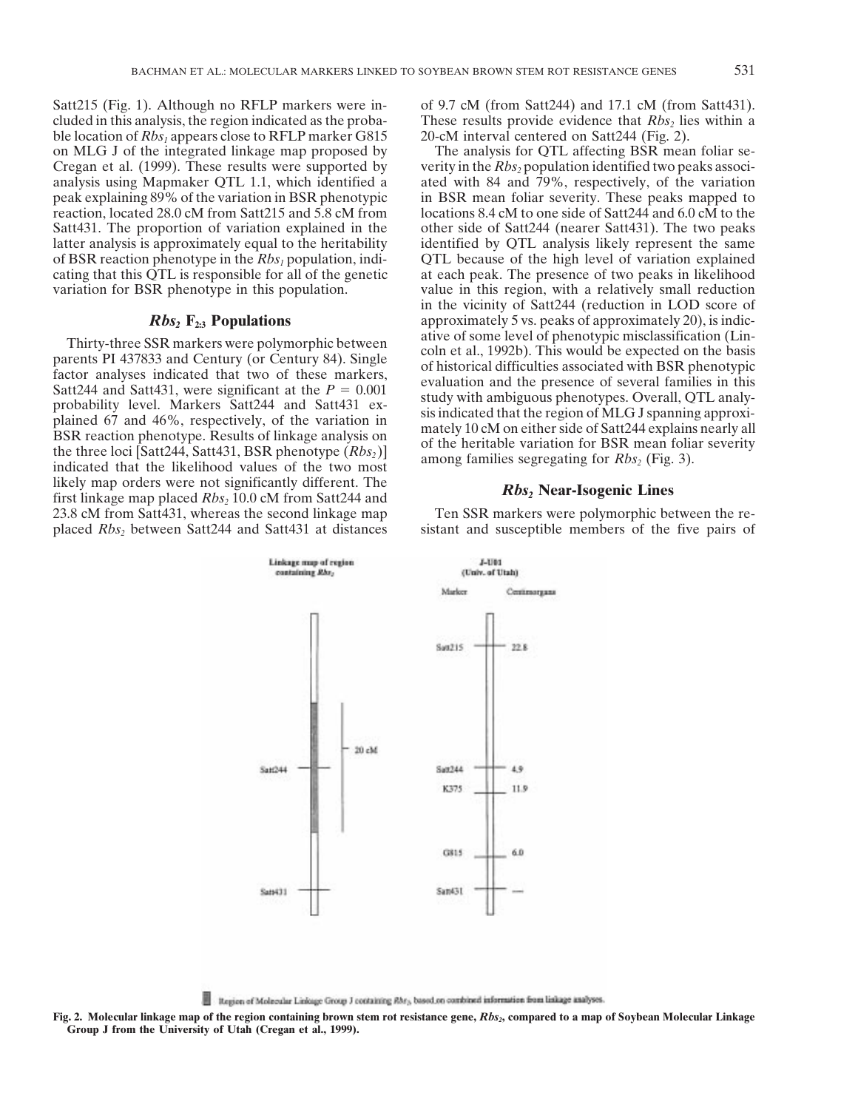Satt215 (Fig. 1). Although no RFLP markers were in- of 9.7 cM (from Satt244) and 17.1 cM (from Satt431). cluded in this analysis, the region indicated as the proba-<br>ble location of  $Rbs_1$  appears close to RFLP marker G815 20-cM interval centered on Satt244 (Fig. 2). ble location of  $Rbs_1$  appears close to RFLP marker G815 on MLG J of the integrated linkage map proposed by The analysis for QTL affecting BSR mean foliar se-

likely map orders were not significantly different. The *Rbs<sub>2</sub>* **Near-Isogenic Lines** first linkage map placed *Rbs<sub>2</sub>* 10.0 cM from Satt244 and 23.8 cM from Satt431, whereas the second linkage map Ten SSR markers were polymorphic between the re-

Cregan et al. (1999). These results were supported by verity in the  $Rbs_2$  population identified two peaks associanalysis using Mapmaker QTL 1.1, which identified a ated with 84 and 79%, respectively, of the variation peak explaining 89% of the variation in BSR phenotypic in BSR mean foliar severity. These peaks mapped to reaction, located 28.0 cM from Satt215 and 5.8 cM from locations 8.4 cM to one side of Satt244 and 6.0 cM to the Satt431. The proportion of variation explained in the other side of Satt244 (nearer Satt431). The two peaks latter analysis is approximately equal to the heritability identified by QTL analysis likely represent the same of BSR reaction phenotype in the *Rbs1* population, indi- QTL because of the high level of variation explained cating that this QTL is responsible for all of the genetic at each peak. The presence of two peaks in likelihood variation for BSR phenotype in this population. value in this region, with a relatively small reduction in the vicinity of Satt244 (reduction in LOD score of *Rbs***<sub>2</sub> <b>F**<sub>2:3</sub> **Populations** *20 peaks of approximately 20, is indication 200 ative* of some level of phenotypic misclassification (Lin-Thirty-three SSR markers were polymorphic between<br>parents PI 437833 and Century (or Century 84). Single<br>factor analyses indicated that two of these markers,<br>Satt244 and Satt431, were significant at the  $P = 0.001$ <br>probabil

placed *Rbs<sub>2</sub>* between Satt244 and Satt431 at distances sistant and susceptible members of the five pairs of



Region of Molecular Linkage Group J containing RM<sub>3</sub>, based on combined information from linkage analyses. 로

Fig. 2. Molecular linkage map of the region containing brown stem rot resistance gene, *Rbs<sub>2</sub>*, compared to a map of Soybean Molecular Linkage **Group J from the University of Utah (Cregan et al., 1999).**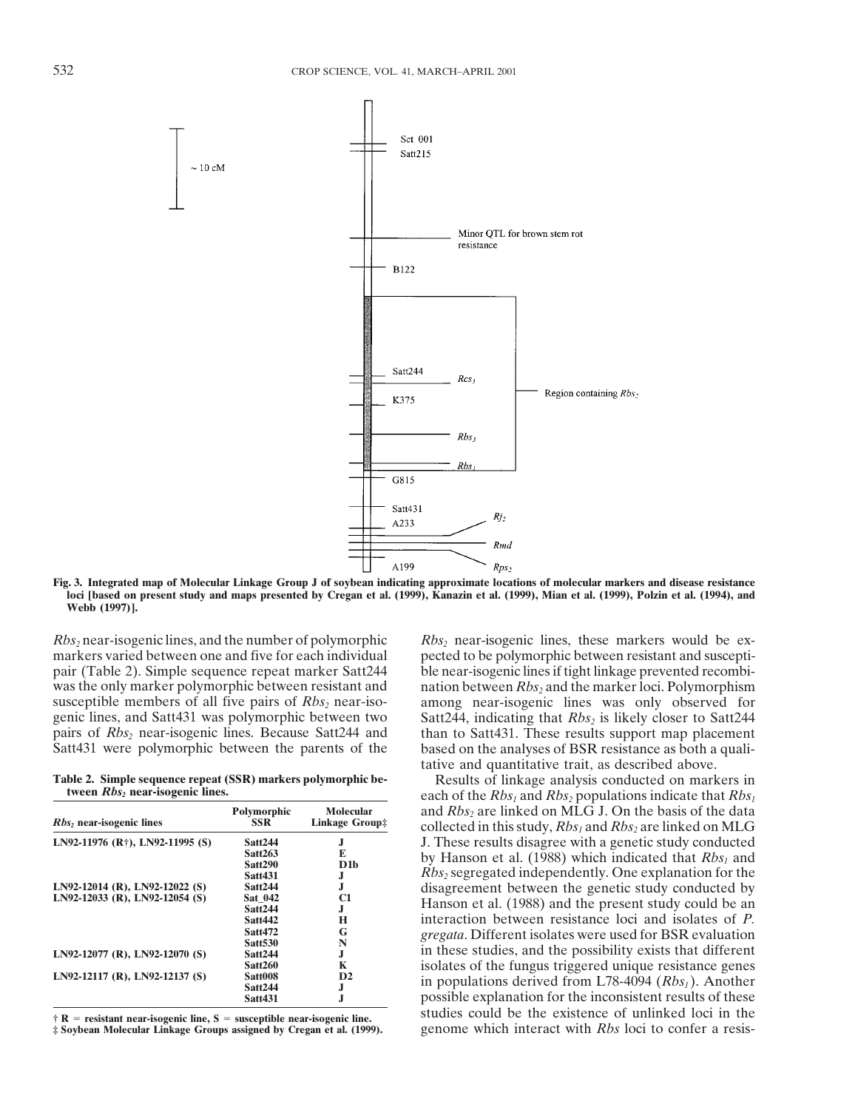

**Fig. 3. Integrated map of Molecular Linkage Group J of soybean indicating approximate locations of molecular markers and disease resistance loci [based on present study and maps presented by Cregan et al. (1999), Kanazin et al. (1999), Mian et al. (1999), Polzin et al. (1994), and Webb (1997)].**

*Rbs<sub>2</sub>* near-isogenic lines, and the number of polymorphic *Rbs<sub>2</sub>* near-isogenic lines, these markers would be ex-<br>markers varied between one and five for each individual pected to be polymorphic between resistant and su

| $Rbs2$ near-isogenic lines                   | Polymorphic<br>SSR - | Molecular<br><b>Linkage Group</b> # |
|----------------------------------------------|----------------------|-------------------------------------|
| LN92-11976 (R <sup>†</sup> ), LN92-11995 (S) | Satt <sub>244</sub>  | J.                                  |
|                                              | Satt263              | E                                   |
|                                              | Satt290              | D1b                                 |
|                                              | <b>Satt431</b>       | J                                   |
| LN92-12014 (R), LN92-12022 (S)               | <b>Satt244</b>       | J.                                  |
| LN92-12033 (R), LN92-12054 (S)               | Sat 042              | C <sub>1</sub>                      |
|                                              | <b>Satt244</b>       | J.                                  |
|                                              | Satt442              | н                                   |
|                                              | <b>Satt472</b>       | G                                   |
|                                              | <b>Satt530</b>       | N                                   |
| $LN92-12077$ (R), $LN92-12070$ (S)           | Satt <sub>244</sub>  | J                                   |
|                                              | <b>Satt260</b>       | K                                   |
| LN92-12117 (R), LN92-12137 (S)               | Satt008              | D <sub>2</sub>                      |
|                                              | <b>Satt244</b>       | J                                   |
|                                              | <b>Satt431</b>       | J                                   |

pected to be polymorphic between resistant and susceptipair (Table 2). Simple sequence repeat marker Satt244 ble near-isogenic lines if tight linkage prevented recombiwas the only marker polymorphic between resistant and nation between *Rbs<sub>2</sub>* and the marker loci. Polymorphism susceptible members of all five pairs of *Rbs<sub>2</sub>* near-iso- among near-isogenic lines was only observed for genic lines, and Satt431 was polymorphic between two Satt244, indicating that *Rbs<sub>2</sub>* is likely closer to Satt244 pairs of *Rbs<sub>2</sub>* near-isogenic lines. Because Satt244 and than to Satt431. These results support map place pairs of *Rbs<sub>2</sub>* near-isogenic lines. Because Satt244 and than to Satt431. These results support map placement Satt431 were polymorphic between the parents of the based on the analyses of BSR resistance as both a qualibased on the analyses of BSR resistance as both a qualitative and quantitative trait, as described above.

**Table 2. Simple sequence repeat (SSR) markers polymorphic be-**<br>**Results of linkage analysis conducted on markers in**<br>each of the Rbs. and Rbs. populations indicate that Rbs. each of the  $Rbs_1$  and  $Rbs_2$  populations indicate that  $Rbs_1$ and  $Rbs_2$  are linked on MLG J. On the basis of the data *collected in this study,*  $Rbs_1$  *and*  $Rbs_2$  *are linked on MLG* **J.** These results disagree with a genetic study conducted by Hanson et al. (1988) which indicated that *Rbs<sub>1</sub>* and *Rbs<sub>2</sub>* segregated independently. One explanation for the disagreement between the genetic study conducted by Hanson et al. (1988) and the present study could be an Interaction between resistance loci and isolates of *P*. *gregata*. Different isolates were used for BSR evaluation in these studies, and the possibility exists that different isolates of the fungus triggered unique resistance genes in populations derived from L78-4094 (*Rbs<sub>1</sub>*). Another possible explanation for the inconsistent results of these **R**  $\overline{R}$  **resistant near-isogenic line, S** = susceptible near-isogenic line.<br> **Example 1 F Soybean Molecular Linkage Groups assigned by Cregan et al. (1999). genome which interact with** *Rbs* **loci to confer a resist** genome which interact with *Rbs* loci to confer a resis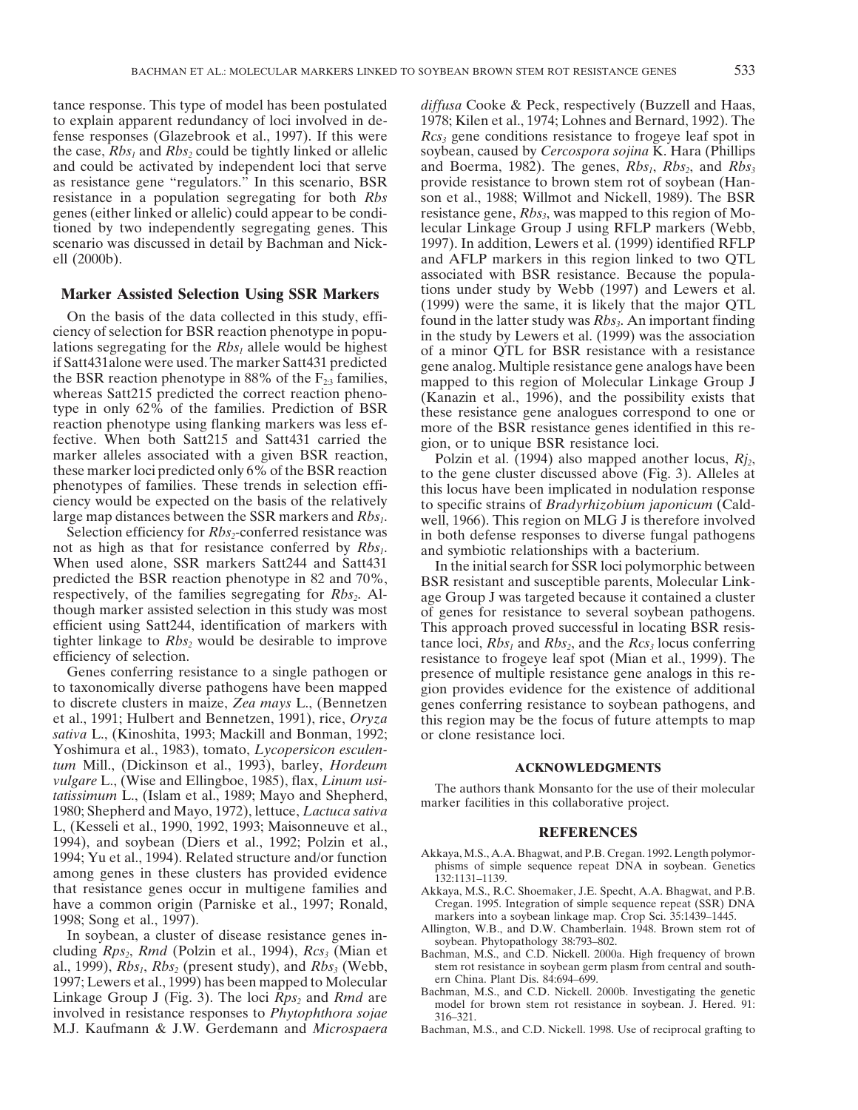tance response. This type of model has been postulated *diffusa* Cooke & Peck, respectively (Buzzell and Haas, to explain apparent redundancy of loci involved in de- 1978; Kilen et al., 1974; Lohnes and Bernard, 1992). The fense responses (Glazebrook et al., 1997). If this were  $Rcs_3$  gene conditions resistance to frogeye leaf spot in the case, *Rbs<sub>1</sub>* and *Rbs<sub>2</sub>* could be tightly linked or allelic soybean, caused by *Cercospora sojina* K. Hara (Phillips and could be activated by independent loci that serve and Boerma, 1982). The genes, *Rbs<sub>1</sub>*, *Rbs<sub>2</sub>*, and *Rbs<sub>3</sub>* as resistance gene "regulators." In this scenario, BSR provide resistance to brown stem rot of soybean (Hanresistance in a population segregating for both *Rbs* son et al., 1988; Willmot and Nickell, 1989). The BSR genes (either linked or allelic) could appear to be condi- resistance gene,  $Rbs_3$ , was mapped to this region of Motioned by two independently segregating genes. This lecular Linkage Group J using RFLP markers (Webb, scenario was discussed in detail by Bachman and Nick- 1997). In addition, Lewers et al. (1999) identified RFLP ell (2000b). and AFLP markers in this region linked to two QTL

if Satt431alone were used. The marker Satt431 predicted<br>
gene analog. Multiple resistance gene analogs have been<br>
the BSR reaction phenobye in 88% of the F<sub>2s</sub> families,<br>
mapped to this region of Molecular Linkage Group J

tighter linkage to *Rbs<sub>2</sub>* would be desirable to improve tance loci,  $Rbs_1$  and  $Rbs_2$ , and the  $Rcs_3$  locus conferring efficiency of selection.

Genes conferring resistance to a single pathogen or presence of multiple resistance gene analogs in this retion taxonomically diverse pathogens have been mapped in provides evidence for the existence of additional to taxonomically diverse pathogens have been mapped gion provides evidence for the existence of additional<br>to discrete clusters in maize, Zea mays L., (Bennetzen genes conferring resistance to sovbean pathogens, and et al., 1991; Hulbert and Bennetzen, 1991), rice, *Oryza* this region may be the focus of future attempts to map *sativa* L., (Kinoshita, 1993; Mackill and Bonman, 1992; or clone resistance loci. Yoshimura et al., 1983), tomato, *Lycopersicon esculentum* Mill., (Dickinson et al., 1993), barley, *Hordeum* **ACKNOWLEDGMENTS** *ACKNOWLEDGMENTS ACKNOWLEDGMENTS* tatissimum L., (Western Enlingtoce, 1989; Mayo and Shepherd,<br>
1980; Shepherd and Mayo, 1972), lettuce, *Lactuca sativa*<br>
The authors thank Monsanto for the use of their molecular<br>
1980; Shepherd and Mayo, 1972), lettuce, L, (Kesseli et al., 1990, 1992, 1993; Maisonneuve et al.,<br>1994), and soybean (Diers et al., 1992; Polzin et al.,<br>1994; Yu et al., 1994). Related structure and/or function<br>among genes in these clusters has provided evidence that resistance genes occur in multigene families and Akkaya, M.S., R.C. Shoemaker, J.E. Specht, A.A. Bhagwat, and P.B.<br>have a common origin (Parniske et al., 1997; Ronald, Cregan. 1995. Integration of simple sequence repe have a common origin (Parniske et al., 1997; Ronald, Cregan. 1995. Integration of simple sequence repeat (SSR) D<br>1998: Song et al. 1997) markers into a soybean linkage map. Crop Sci. 35:1439-1445.

1998; Song et al., 1997).<br>
In soybean, a cluster of disease resistance genes in-<br>
cluding Rps<sub>2</sub>, Rmd (Polzin et al., 1994), Rcs<sub>3</sub> (Mian et Bachman, M.S., and C.D. Nickell. 2000a. High frequency of brown al., 1999), *Rbs<sub>1</sub>*, *Rbs<sub>2</sub>* (present study), and *Rbs<sub>3</sub>* (Webb, stem rot resistance in soybean germ plasm from central and south-<br>1997: Lewers et al. 1999) has been manned to Molecular ern China. Plant Dis. 84:694–699. 1997; Lewers et al., 1999) has been mapped to Molecular  $\mu$  and C.D. Nickell. 2000b. Investigating the genetic involved in resistance responses to *Phytophthora sojae*  $\mu$  and  $\mu$ . S., and C.D. Nickell. 2000b. Investig M.J. Kaufmann & J.W. Gerdemann and *Microspaera* Bachman, M.S., and C.D. Nickell. 1998. Use of reciprocal grafting to

associated with BSR resistance. Because the popula-**Marker Assisted Selection Using SSR Markers** tions under study by Webb (1997) and Lewers et al. On the basis of the data collected in this study, effi-<br>
Con the basis of the data collected in this study, effi-<br>
ciency of selection for BSR reaction phenotype in populations segregating for the  $Rbs_1$  allele would be h

there is the effection.<br>
Frequency of selection.<br>
Frequency of multiple resistance gene analogs in this re-<br>
Frequency of multiple resistance gene analogs in this regenes conferring resistance to soybean pathogens, and

- 
- 
- 
- 
- 
-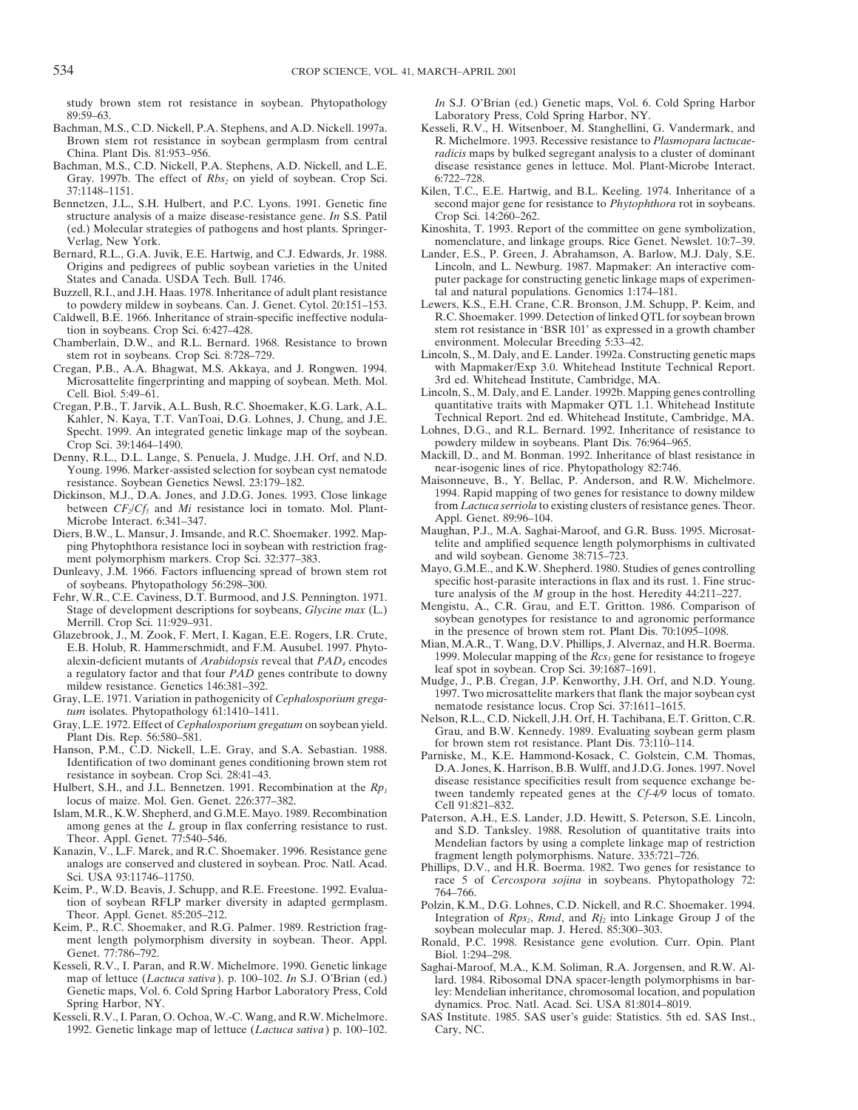study brown stem rot resistance in soybean. Phytopathology *In* S.J. O'Brian (ed.) Genetic maps, Vol. 6. Cold Spring Harbor

- 89:59–63. Laboratory Press, Cold Spring Harbor, NY.<br>Bachman, M.S., C.D. Nickell, P.A. Stephens, and A.D. Nickell. 1997a. Kesseli, R.V., H. Witsenboer, M. Stanghellini,
- Gray. 1997b. The effect of *Rbs<sub>2</sub>* on yield of soybean. Crop Sci. 6:722–728.
- structure analysis of a maize disease-resistance gene. *In* S.S. Patil Crop Sci. 14:260–262.<br>(ed.) Molecular strategies of pathogens and host plants. Springer-<br>Kinoshita, T. 1993. Repo
- Verlag, New York. nomenclature, and linkage groups. Rice Genet. Newslet. 10:7–39. Origins and pedigrees of public soybean varieties in the United
- Buzzell, R.I., and J.H. Haas. 1978. Inheritance of adult plant resistance tal and natural populations. Genomics 1:174–181.<br>to powdery mildew in soybeans. Can. J. Genet. Cytol. 20:151–153. Lewers, K.S., E.H. Crane, C.R. Bro
- Caldwell, B.E. 1966. Inheritance of strain-specific ineffective nodula-
- Chamberlain, D.W., and R.L. Bernard. 1968. Resistance to brown environment. Molecular Breeding 5:33–42.
- Cregan, P.B., A.A. Bhagwat, M.S. Akkaya, and J. Rongwen. 1994. with Mapmaker/Exp 3.0. Whitehead Institute Technical Report. Microsattelite fingerprinting and mapping of soybean. Meth. Mol. 3rd ed. Whitehead Institute, Camb Microsattelite fingerprinting and mapping of soybean. Meth. Mol.
- Cregan, P.B., T. Jarvik, A.L. Bush, R.C. Shoemaker, K.G. Lark, A.L. quantitative traits with Mapmaker QTL 1.1. Whitehead Institute Kahler, N. Kaya, T.T. VanToai, D.G. Lohnes, J. Chung, and J.E. Technical Report. 2nd ed. Whitehead Institute, Cambridge, MA.<br>Specht. 1999. An integrated genetic linkage map of the sovbean. Lohnes, D.G., and R.L. Bernard. 1 Specht. 1999. An integrated genetic linkage map of the soybean. Crop Sci. 39:1464–1490.<br>
enny R.L. D.L. Lange S. Penuela J. Mudge J.H. Orf. and N.D. Mackill, D., and M. Bonman. 1992. Inheritance of blast resistance in
- Denny, R.L., D.L. Lange, S. Penuela, J. Mudge, J.H. Orf, and N.D. Mackill, D., and M. Bonman. 1992. Inheritance of blast Young. 1996. Marker-assisted selection for soybean cyst nematode near-isogenic lines of rice. Phytopa Young. 1996. Marker-assisted selection for soybean cyst nematode
- between *CF*<sub>2</sub>/*Cf<sub>5</sub>* and *Mi* resistance loci in tomato. Mol. Plant-<br>Microbe Interact 6:341–347<br>Appl. Genet. 89:96–104.
- ping Phytophthora resistance loci in soybean with restriction frag-<br>ment polymorphism markers. Crop Sci. 32:377–383. and wild soybean. Genome 38:715–723.
- 
- Fehr, W.R., C.E. Caviness, D.T. Burmood, and J.S. Pennington. 1971. ture analysis of the *M* group in the host. Heredity 44:211-227.<br>Stage of development descriptions for soybeans, *Glycine max* (L.) Mengistu, A., C.R. Gra
- Glazebrook, J., M. Zook, F. Mert, I. Kagan, E.E. Rogers, I.R. Crute, In the presence of brown stem rot. Plant Dis. 70:1095–1098.<br>E.B. Holub, R. Hammerschmidt, and F.M. Ausubel. 1997. Phyto-Mian, M.A.R., T. Wang, D.V. Phill  $\frac{2.5}{2.5}$ <br>alexin-deficient mutants of *Arabidopsis* reveal that *PAD*<sub>4</sub> encodes<br>a regulatory factor and that four *PAD* genes contribute to downy leaf spot in soybean. Crop Sci. 39:1687-1691.
- 
- 
- 
- 
- 
- 
- tion of soybean RFLP marker diversity in adapted germplasm. Polzin, K.M., D.G. Lohnes, C.D. Nickell, and R.C. Shoemaker. 1994.<br>Theor. Appl. Genet. 85:205–212. Integration of  $Rps_2$ ,  $Rmd$ , and  $Rl_2$  into Linkage Group J o
- Keim, P., R.C. Shoemaker, and R.G. Palmer. 1989. Restriction frag-<br>ment length polymorphism diversity in soybean. Theor. Appl. Ronald, P.C. 1998. Resistance gene evolution. Curr. Opin. Plant<br>Genet. 77:786–792. Biol. 1:294–
- Kesseli, R.V., I. Paran, and R.W. Michelmore. 1990. Genetic linkage esseli, R.V., I. Paran, and R.W. Michelmore. 1990. Genetic linkage Saghai-Maroof, M.A., K.M. Soliman, R.A. Jorgensen, and R.W. Al-<br>map of lettuce (*Lactuca sativa*). p. 100–102. *In* S.J. O'Brian (ed.) lard. 1984. Ribosoma Genetic maps, Vol. 6. Cold Spring Harbor Laboratory Press, Cold Spring Harbor, NY.<br>Kesseli, R.V., I. Paran, O. Ochoa, W.-C. Wang, and R.W. Michelmore. SAS Institute. 1985. SAS user's guide: Statistics. 5th e
- 1992. Genetic linkage map of lettuce (*Lactuca sativa*) p. 100–102. Cary, NC.

- Kesseli, R.V., H. Witsenboer, M. Stanghellini, G. Vandermark, and Brown stem rot resistance in soybean germplasm from central R. Michelmore. 1993. Recessive resistance to *Plasmopara lactucae-*China. Plant Dis. 81:953–956. *radicis* maps by bulked segregant analysis to a cluster of dominant Bachman, M.S., C.D. Nickell, P.A. Stephens, A.D. Nickell, and L.E. disease resistance genes in lettuce. Mol. Plant-Microbe Interact.
- 37:1148–1151.<br>Bennetzen, J.L., S.H. Hulbert, and P.C. Lyons. 1991. Genetic fine<br>Bennetzen, J.L., S.H. Hulbert, and P.C. Lyons. 1991. Genetic fine<br>Second major gene for resistance to *Phytophthora* rot in soybeans. second major gene for resistance to *Phytophthora* rot in soybeans.
	- Kinoshita, T. 1993. Report of the committee on gene symbolization,
	- Lander, E.S., P. Green, J. Abrahamson, A. Barlow, M.J. Daly, S.E.<br>Lincoln, and L. Newburg. 1987. Mapmaker: An interactive com-States and Canada. USDA Tech. Bull. 1746. puter package for constructing genetic linkage maps of experimen-<br>Izzell, R.I., and J.H. Haas. 1978. Inheritance of adult plant resistance tal and natural populations. Genomics 1:1
	- to powdery mildew in soybeans. Can. J. Genet. Cytol. 20:151–153. Lewers, K.S., E.H. Crane, C.R. Bronson, J.M. Schupp, P. Keim, and<br>Idwell, B.E. 1966. Inheritance of strain-specific ineffective nodula-<br>R.C. Shoemaker. 1999. tion in soybeans. Crop Sci. 6:427-428. Stem rot resistance in 'BSR 101' as expressed in a growth chamber
	- stem rot in soybeans. Crop Sci. 8:728–729. Lincoln, S., M. Daly, and E. Lander. 1992a. Constructing genetic maps<br>egan. P.B., A.A. Bhagwat, M.S. Akkava, and J. Rongwen. 1994. with Mapmaker/Exp 3.0. Whitehead Institute Techn
	- Cell. Biol. 5:49–61.<br>
	egan, P.B., T. Jarvik, A.L. Bush, R.C. Shoemaker, K.G. Lark, A.L. quantitative traits with Mapmaker QTL 1.1. Whitehead Institute
		-
		-
- resistance. Soybean Genetics Newsl. 23:179–182. Maisonneuve, B., Y. Bellac, P. Anderson, and R.W. Michelmore.<br>
ckinson, M.J., D.A. Jones. and J.D.G. Jones. 1993. Close linkage 1994. Rapid mapping of two genes for resistanc Dickinson, M.J., D.A. Jones, and J.D.G. Jones. 1993. Close linkage 1994. Rapid mapping of two genes for resistance to downy mildew<br>between CFJCf<sub>s</sub> and Mi resistance loci in tomato. Mol. Plant-<br>from *Lactuca serriola* to e
- Microbe Interact. 6:341–347.<br>ers. B.W., L. Mansur, J. Imsande, and R.C. Shoemaker, 1992. Man-Maughan, P.J., M.A. Saghai-Maroof, and G.R. Buss. 1995. Microsat-Diers, B.W., L. Mansur, J. Imsande, and R.C. Shoemaker. 1992. Map-<br>
ping Phytophthora resistance loci in sovbean with restriction frag-<br>
telite and amplified sequence length polymorphisms in cultivated
- ment polymorphism markers. Crop Sci. 32:377–383. and wild soybean. Genome 38:715–723.<br>In 1966 Factors influencing spread of brown stem rot Mayo, G.M.E., and K.W. Shepherd. 1980. Studies of genes controlling Dunleavy, J.M. 1966. Factors influencing spread of brown stem rot Mayo, G.M.E., and K.W. Shepherd. 1980. Studies of genes controlling of soybeans. Phytopathology 56:298–300.
	- Merrill. Crop Sci. 11:929–931.<br>Merrill. Crop Sci. 11:929–931. soybean genotypes for resistance to and agronomic performance<br>azebrook J. M. Zook E. Mert J. Kagan E. E. Rogers J. R. Crute in the presence of brown stem rot. P
		-
		-
		-
- a regulatory factor and that four *PAD* genes contribute to downy<br>
and spot in soybean. Top Sci. 39:0657–1691.<br>
mildlee, J., P.B. Cregan, J.P. Kenworthy, J.H. Orf, and N.D. Young<br>
mildlee, J., P.B. Cregan, J.P. Kenworthy,
	-
	-
	-
	-
	- lard. 1984. Ribosomal DNA spacer-length polymorphisms in bar-<br>lev: Mendelian inheritance, chromosomal location, and population
	- SAS Institute. 1985. SAS user's guide: Statistics. 5th ed. SAS Inst.,